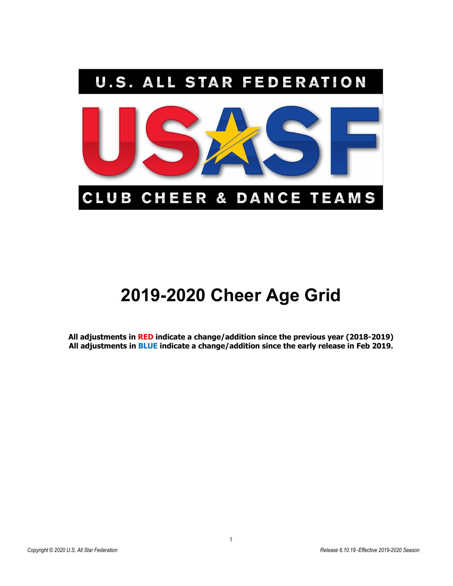

# **2019-2020 Cheer Age Grid**

**All adjustments in RED indicate a change/addition since the previous year (2018-2019) All adjustments in BLUE indicate a change/addition since the early release in Feb 2019.**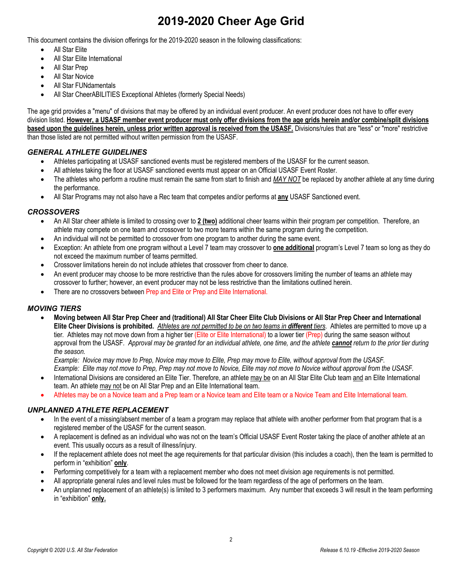# **2019-2020 Cheer Age Grid**

This document contains the division offerings for the 2019-2020 season in the following classifications:

- All Star Elite
- All Star Elite International
- All Star Prep
- All Star Novice
- All Star FUNdamentals
- All Star CheerABILITIES Exceptional Athletes (formerly Special Needs)

The age grid provides a "menu" of divisions that may be offered by an individual event producer. An event producer does not have to offer every division listed. **However, a USASF member event producer must only offer divisions from the age grids herein and/or combine/split divisions based upon the guidelines herein, unless prior written approval is received from the USASF.** Divisions/rules that are "less" or "more" restrictive than those listed are not permitted without written permission from the USASF.

### *GENERAL ATHLETE GUIDELINES*

- Athletes participating at USASF sanctioned events must be registered members of the USASF for the current season.
- All athletes taking the floor at USASF sanctioned events must appear on an Official USASF Event Roster.
- The athletes who perform a routine must remain the same from start to finish and *MAY NOT* be replaced by another athlete at any time during the performance.
- All Star Programs may not also have a Rec team that competes and/or performs at **any** USASF Sanctioned event.

### *CROSSOVERS*

- An All Star cheer athlete is limited to crossing over to **2 (two)** additional cheer teams within their program per competition. Therefore, an athlete may compete on one team and crossover to two more teams within the same program during the competition.
- An individual will not be permitted to crossover from one program to another during the same event.
- Exception: An athlete from one program without a Level 7 team may crossover to **one additional** program's Level 7 team so long as they do not exceed the maximum number of teams permitted.
- Crossover limitations herein do not include athletes that crossover from cheer to dance.
- An event producer may choose to be more restrictive than the rules above for crossovers limiting the number of teams an athlete may crossover to further; however, an event producer may not be less restrictive than the limitations outlined herein.
- There are no crossovers between Prep and Elite or Prep and Elite International.

#### *MOVING TIERS*

• **Moving between All Star Prep Cheer and (traditional) All Star Cheer Elite Club Divisions or All Star Prep Cheer and International Elite Cheer Divisions is prohibited.** *Athletes are not permitted to be on two teams in different tiers*. Athletes are permitted to move up a tier. Athletes may not move down from a higher tier (Elite or Elite International) to a lower tier (Prep) during the same season without approval from the USASF*. Approval may be granted for an individual athlete, one time, and the athlete cannot return to the prior tier during the season.*

*Example: Novice may move to Prep, Novice may move to Elite, Prep may move to Elite, without approval from the USASF. Example: Elite may not move to Prep, Prep may not move to Novice, Elite may not move to Novice without approval from the USASF.*

- International Divisions are considered an Elite Tier. Therefore, an athlete may be on an All Star Elite Club team and an Elite International team. An athlete may not be on All Star Prep and an Elite International team.
- Athletes may be on a Novice team and a Prep team or a Novice team and Elite team or a Novice Team and Elite International team.

### *UNPLANNED ATHLETE REPLACEMENT*

- In the event of a missing/absent member of a team a program may replace that athlete with another performer from that program that is a registered member of the USASF for the current season.
- A replacement is defined as an individual who was not on the team's Official USASF Event Roster taking the place of another athlete at an event. This usually occurs as a result of illness/injury.
- If the replacement athlete does not meet the age requirements for that particular division (this includes a coach), then the team is permitted to perform in "exhibition" **only**.
- Performing competitively for a team with a replacement member who does not meet division age requirements is not permitted.
- All appropriate general rules and level rules must be followed for the team regardless of the age of performers on the team.
- An unplanned replacement of an athlete(s) is limited to 3 performers maximum. Any number that exceeds 3 will result in the team performing in "exhibition" **only.**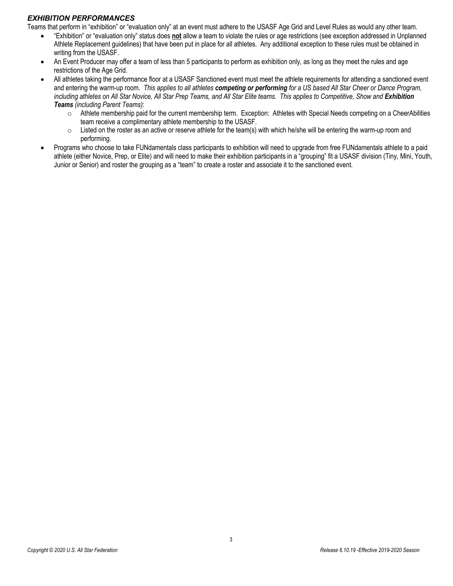### *EXHIBITION PERFORMANCES*

Teams that perform in "exhibition" or "evaluation only" at an event must adhere to the USASF Age Grid and Level Rules as would any other team.

- "Exhibition" or "evaluation only" status does **not** allow a team to violate the rules or age restrictions (see exception addressed in Unplanned Athlete Replacement guidelines) that have been put in place for all athletes. Any additional exception to these rules must be obtained in writing from the USASF.
- An Event Producer may offer a team of less than 5 participants to perform as exhibition only, as long as they meet the rules and age restrictions of the Age Grid.
- All athletes taking the performance floor at a USASF Sanctioned event must meet the athlete requirements for attending a sanctioned event and entering the warm-up room. *This applies to all athletes competing or performing for a US based All Star Cheer or Dance Program,*  including athletes on All Star Novice, All Star Prep Teams, and All Star Elite teams. This applies to Competitive, Show and *Exhibition Teams (including Parent Teams)*:
	- $\circ$  Athlete membership paid for the current membership term. Exception: Athletes with Special Needs competing on a CheerAbilities team receive a complimentary athlete membership to the USASF.
	- $\circ$  Listed on the roster as an active or reserve athlete for the team(s) with which he/she will be entering the warm-up room and performing.
- Programs who choose to take FUNdamentals class participants to exhibition will need to upgrade from free FUNdamentals athlete to a paid athlete (either Novice, Prep, or Elite) and will need to make their exhibition participants in a "grouping" fit a USASF division (Tiny, Mini, Youth, Junior or Senior) and roster the grouping as a "team" to create a roster and associate it to the sanctioned event.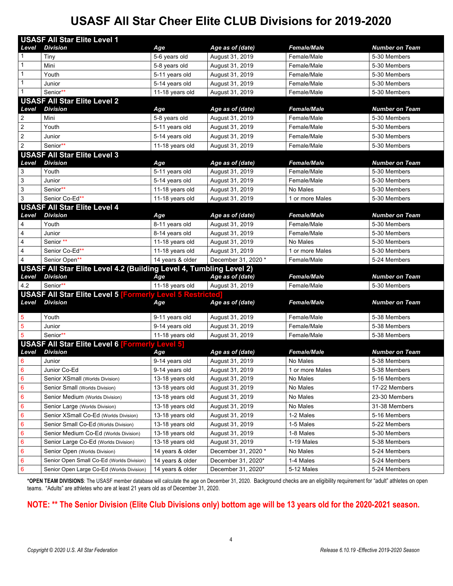## **USASF All Star Cheer Elite CLUB Divisions for 2019-2020**

| <b>USASF All Star Elite Level 1</b> |                                                                     |                  |                     |                    |                       |  |
|-------------------------------------|---------------------------------------------------------------------|------------------|---------------------|--------------------|-----------------------|--|
| Level                               | <b>Division</b>                                                     | Age              | Age as of (date)    | <b>Female/Male</b> | <b>Number on Team</b> |  |
|                                     | Tiny                                                                | 5-6 years old    | August 31, 2019     | Female/Male        | 5-30 Members          |  |
| 1                                   | Mini                                                                | 5-8 years old    | August 31, 2019     | Female/Male        | 5-30 Members          |  |
| 1                                   | Youth                                                               | 5-11 years old   | August 31, 2019     | Female/Male        | 5-30 Members          |  |
| 1                                   | Junior                                                              | 5-14 years old   | August 31, 2019     | Female/Male        | 5-30 Members          |  |
| $\mathbf{1}$                        | Senior**                                                            | 11-18 years old  | August 31, 2019     | Female/Male        | 5-30 Members          |  |
|                                     | <b>USASF All Star Elite Level 2</b>                                 |                  |                     |                    |                       |  |
| Level                               | <b>Division</b>                                                     | Age              | Age as of (date)    | <b>Female/Male</b> | <b>Number on Team</b> |  |
| $\overline{2}$                      | Mini                                                                | 5-8 years old    | August 31, 2019     | Female/Male        | 5-30 Members          |  |
| $\sqrt{2}$                          | Youth                                                               | 5-11 years old   | August 31, 2019     | Female/Male        | 5-30 Members          |  |
| $\sqrt{2}$                          | Junior                                                              | 5-14 years old   | August 31, 2019     | Female/Male        | 5-30 Members          |  |
| $\overline{2}$                      | Senior**                                                            | 11-18 years old  | August 31, 2019     | Female/Male        | 5-30 Members          |  |
|                                     | <b>USASF All Star Elite Level 3</b>                                 |                  |                     |                    |                       |  |
| Level                               | <b>Division</b>                                                     | Age              | Age as of (date)    | <b>Female/Male</b> | <b>Number on Team</b> |  |
| 3                                   | Youth                                                               | 5-11 years old   | August 31, 2019     | Female/Male        | 5-30 Members          |  |
| $\mathsf 3$                         | Junior                                                              | 5-14 years old   | August 31, 2019     | Female/Male        | 5-30 Members          |  |
| $\ensuremath{\mathsf{3}}$           | Senior**                                                            | 11-18 years old  | August 31, 2019     | No Males           | 5-30 Members          |  |
| $\mathbf{3}$                        | Senior Co-Ed**                                                      | 11-18 years old  | August 31, 2019     | 1 or more Males    | 5-30 Members          |  |
|                                     | <b>USASF All Star Elite Level 4</b>                                 |                  |                     |                    |                       |  |
| Level                               | <b>Division</b>                                                     | Age              | Age as of (date)    | <b>Female/Male</b> | <b>Number on Team</b> |  |
| 4                                   | Youth                                                               | 8-11 years old   | August 31, 2019     | Female/Male        | 5-30 Members          |  |
| $\overline{\mathbf{4}}$             | Junior                                                              | 8-14 years old   | August 31, 2019     | Female/Male        | 5-30 Members          |  |
| $\overline{\mathbf{4}}$             | Senior **                                                           | 11-18 years old  | August 31, 2019     | No Males           | 5-30 Members          |  |
| 4                                   | Senior Co-Ed**                                                      | 11-18 years old  | August 31, 2019     | 1 or more Males    | 5-30 Members          |  |
| $\overline{4}$                      | Senior Open**                                                       | 14 years & older | December 31, 2020 * | Female/Male        | 5-24 Members          |  |
|                                     | USASF All Star Elite Level 4.2 (Building Level 4, Tumbling Level 2) |                  |                     |                    |                       |  |
| Level                               | <b>Division</b>                                                     | Age              | Age as of (date)    | <b>Female/Male</b> | <b>Number on Team</b> |  |
| 4.2                                 | Senior**                                                            | 11-18 years old  | August 31, 2019     | Female/Male        | 5-30 Members          |  |
|                                     | <b>USASF All Star Elite Level 5 [Formerly Level 5 Restricted</b>    |                  |                     |                    |                       |  |
| Level                               | <b>Division</b>                                                     | Age              | Age as of (date)    | <b>Female/Male</b> | <b>Number on Team</b> |  |
| 5                                   | Youth                                                               | 9-11 years old   | August 31, 2019     | Female/Male        | 5-38 Members          |  |
| $\sqrt{5}$                          | Junior                                                              | 9-14 years old   | August 31, 2019     | Female/Male        | 5-38 Members          |  |
| 5                                   | Senior**                                                            | 11-18 years old  | August 31, 2019     | Female/Male        | 5-38 Members          |  |
|                                     | <b>USASF All Star Elite Level 6 [Formerly Level 5]</b>              |                  |                     |                    |                       |  |
| Level                               | <b>Division</b>                                                     | Age              | Age as of (date)    | <b>Female/Male</b> | <b>Number on Team</b> |  |
| 6                                   | Junior                                                              | 9-14 years old   | August 31, 2019     | No Males           | 5-38 Members          |  |
| -6                                  | Junior Co-Ed                                                        | 9-14 years old   | August 31, 2019     | 1 or more Males    | 5-38 Members          |  |
| $6\phantom{1}6$                     | Senior XSmall (Worlds Division)                                     | 13-18 years old  | August 31, 2019     | No Males           | 5-16 Members          |  |
| $6\phantom{1}6$                     | Senior Small (Worlds Division)                                      | 13-18 years old  | August 31, 2019     | No Males           | 17-22 Members         |  |
| 6                                   | Senior Medium (Worlds Division)                                     | 13-18 years old  | August 31, 2019     | No Males           | 23-30 Members         |  |
| $6\phantom{1}6$                     | Senior Large (Worlds Division)                                      | 13-18 years old  | August 31, 2019     | No Males           | 31-38 Members         |  |
| 6                                   | Senior XSmall Co-Ed (Worlds Division)                               | 13-18 years old  | August 31, 2019     | 1-2 Males          | 5-16 Members          |  |
| 6                                   | Senior Small Co-Ed (Worlds Division)                                | 13-18 years old  | August 31, 2019     | 1-5 Males          | 5-22 Members          |  |
| 6                                   | Senior Medium Co-Ed (Worlds Division)                               | 13-18 years old  | August 31, 2019     | 1-8 Males          | 5-30 Members          |  |
| 6                                   | Senior Large Co-Ed (Worlds Division)                                | 13-18 years old  | August 31, 2019     | 1-19 Males         | 5-38 Members          |  |
| $6\phantom{1}6$                     | Senior Open (Worlds Division)                                       | 14 years & older | December 31, 2020 * | No Males           | 5-24 Members          |  |
| 6                                   | Senior Open Small Co-Ed (Worlds Division)                           | 14 years & older | December 31, 2020*  | 1-4 Males          | 5-24 Members          |  |
| $6\phantom{1}6$                     | Senior Open Large Co-Ed (Worlds Division)                           | 14 years & older | December 31, 2020*  | 5-12 Males         | 5-24 Members          |  |

**\*OPEN TEAM DIVISIONS**: The USASF member database will calculate the age on December 31, 2020. Background checks are an eligibility requirement for "adult" athletes on open teams. "Adults" are athletes who are at least 21 years old as of December 31, 2020.

### **NOTE: \*\* The Senior Division (Elite Club Divisions only) bottom age will be 13 years old for the 2020-2021 season.**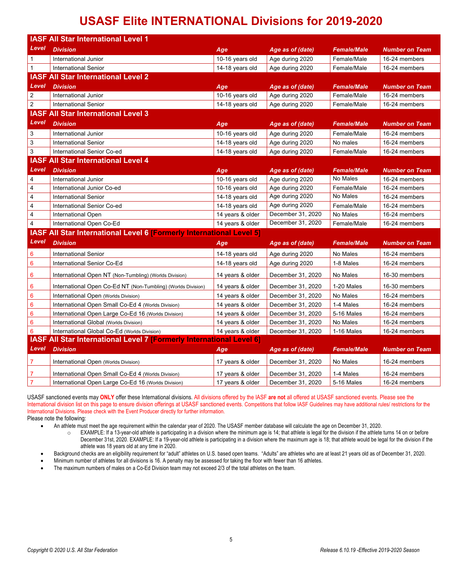## **USASF Elite INTERNATIONAL Divisions for 2019-2020**

| <b>IASF All Star International Level 1</b> |                                                                             |                  |                   |                    |                       |  |  |
|--------------------------------------------|-----------------------------------------------------------------------------|------------------|-------------------|--------------------|-----------------------|--|--|
| Level                                      | <b>Division</b>                                                             | Age              | Age as of (date)  | <b>Female/Male</b> | Number on Team        |  |  |
| $\mathbf{1}$                               | International Junior                                                        | 10-16 years old  | Age during 2020   | Female/Male        | 16-24 members         |  |  |
| $\mathbf{1}$                               | <b>International Senior</b>                                                 | 14-18 years old  | Age during 2020   | Female/Male        | 16-24 members         |  |  |
|                                            | <b>IASF All Star International Level 2</b>                                  |                  |                   |                    |                       |  |  |
| Level                                      | <b>Division</b>                                                             | Age              | Age as of (date)  | <b>Female/Male</b> | Number on Team        |  |  |
| $\overline{2}$                             | International Junior                                                        | 10-16 years old  | Age during 2020   | Female/Male        | 16-24 members         |  |  |
| $\overline{2}$                             | <b>International Senior</b>                                                 | 14-18 years old  | Age during 2020   | Female/Male        | 16-24 members         |  |  |
|                                            | <b>IASF All Star International Level 3</b>                                  |                  |                   |                    |                       |  |  |
| Level                                      | <b>Division</b>                                                             | Age              | Age as of (date)  | <b>Female/Male</b> | Number on Team        |  |  |
| 3                                          | International Junior                                                        | 10-16 years old  | Age during 2020   | Female/Male        | 16-24 members         |  |  |
| 3                                          | <b>International Senior</b>                                                 | 14-18 years old  | Age during 2020   | No males           | 16-24 members         |  |  |
| 3                                          | International Senior Co-ed                                                  | 14-18 years old  | Age during 2020   | Female/Male        | 16-24 members         |  |  |
|                                            | <b>IASF All Star International Level 4</b>                                  |                  |                   |                    |                       |  |  |
| Level                                      | <b>Division</b>                                                             | Age              | Age as of (date)  | <b>Female/Male</b> | Number on Team        |  |  |
| 4                                          | International Junior                                                        | 10-16 years old  | Age during 2020   | No Males           | 16-24 members         |  |  |
| 4                                          | International Junior Co-ed                                                  | 10-16 years old  | Age during 2020   | Female/Male        | 16-24 members         |  |  |
| 4                                          | <b>International Senior</b>                                                 | 14-18 years old  | Age during 2020   | No Males           | 16-24 members         |  |  |
| 4                                          | International Senior Co-ed                                                  | 14-18 years old  | Age during 2020   | Female/Male        | 16-24 members         |  |  |
| 4                                          | <b>International Open</b>                                                   | 14 years & older | December 31, 2020 | No Males           | 16-24 members         |  |  |
| 4                                          | International Open Co-Ed                                                    | 14 years & older | December 31, 2020 | Female/Male        | 16-24 members         |  |  |
|                                            | <b>IASF All Star International Level 6 [Formerly International Level 5]</b> |                  |                   |                    |                       |  |  |
| Level                                      | <b>Division</b>                                                             | Age              | Age as of (date)  | <b>Female/Male</b> | Number on Team        |  |  |
| $\bf 6$                                    | <b>International Senior</b>                                                 | 14-18 years old  | Age during 2020   | No Males           | 16-24 members         |  |  |
| $6\phantom{1}6$                            | International Senior Co-Ed                                                  | 14-18 years old  | Age during 2020   | 1-8 Males          | 16-24 members         |  |  |
| $6\phantom{1}6$                            | International Open NT (Non-Tumbling) (Worlds Division)                      | 14 years & older | December 31, 2020 | No Males           | 16-30 members         |  |  |
| $6\phantom{1}6$                            | International Open Co-Ed NT (Non-Tumbling) (Worlds Division)                | 14 years & older | December 31, 2020 | 1-20 Males         | 16-30 members         |  |  |
| $6\phantom{1}6$                            | International Open (Worlds Division)                                        | 14 years & older | December 31, 2020 | No Males           | 16-24 members         |  |  |
| 6                                          | International Open Small Co-Ed 4 (Worlds Division)                          | 14 years & older | December 31, 2020 | 1-4 Males          | 16-24 members         |  |  |
| $6\phantom{1}6$                            | International Open Large Co-Ed 16 (Worlds Division)                         | 14 years & older | December 31, 2020 | 5-16 Males         | 16-24 members         |  |  |
| 6                                          | International Global (Worlds Division)                                      | 14 years & older | December 31, 2020 | No Males           | 16-24 members         |  |  |
| 6                                          | International Global Co-Ed (Worlds Division)                                | 14 years & older | December 31, 2020 | 1-16 Males         | 16-24 members         |  |  |
|                                            | <b>IASF All Star International Level 7 [Formerly International Level 6]</b> |                  |                   |                    |                       |  |  |
| Level                                      | <b>Division</b>                                                             | Age              | Age as of (date)  | <b>Female/Male</b> | <b>Number on Team</b> |  |  |
| 7                                          | International Open (Worlds Division)                                        | 17 years & older | December 31, 2020 | No Males           | 16-24 members         |  |  |
| 7                                          | International Open Small Co-Ed 4 (Worlds Division)                          | 17 years & older | December 31, 2020 | 1-4 Males          | 16-24 members         |  |  |
| $\overline{7}$                             | International Open Large Co-Ed 16 (Worlds Division)                         | 17 years & older | December 31, 2020 | 5-16 Males         | 16-24 members         |  |  |

USASF sanctioned events may **ONLY** offer these International divisions. All divisions offered by the IASF **are not** all offered at USASF sanctioned events. Please see the International division list on this page to ensure division offerings at USASF sanctioned events. Competitions that follow IASF Guidelines may have additional rules/ restrictions for the International Divisions. Please check with the Event Producer directly for further information. Please note the following:

• An athlete must meet the age requirement within the calendar year of 2020. The USASF member database will calculate the age on December 31, 2020.

o EXAMPLE: If a 13-year-old athlete is participating in a division where the minimum age is 14; that athlete is legal for the division if the athlete turns 14 on or before December 31st, 2020. EXAMPLE: If a 19-year-old athlete is participating in a division where the maximum age is 18; that athlete would be legal for the division if the athlete was 18 years old at any time in 2020.

• Background checks are an eligibility requirement for "adult" athletes on U.S. based open teams. "Adults" are athletes who are at least 21 years old as of December 31, 2020.

• Minimum number of athletes for all divisions is 16. A penalty may be assessed for taking the floor with fewer than 16 athletes.

The maximum numbers of males on a Co-Ed Division team may not exceed 2/3 of the total athletes on the team.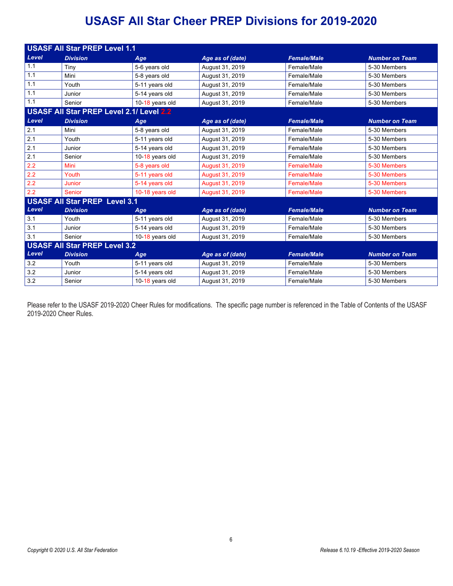## **USASF All Star Cheer PREP Divisions for 2019-2020**

| <b>USASF All Star PREP Level 1.1</b> |                                          |                 |                        |                    |                       |  |
|--------------------------------------|------------------------------------------|-----------------|------------------------|--------------------|-----------------------|--|
| Level                                | <b>Division</b>                          | Age             | Age as of (date)       | <b>Female/Male</b> | <b>Number on Team</b> |  |
| 1.1                                  | Tiny                                     | 5-6 years old   | August 31, 2019        | Female/Male        | 5-30 Members          |  |
| 1.1                                  | Mini                                     | 5-8 years old   | August 31, 2019        | Female/Male        | 5-30 Members          |  |
| 1.1                                  | Youth                                    | 5-11 years old  | August 31, 2019        | Female/Male        | 5-30 Members          |  |
| 1.1                                  | Junior                                   | 5-14 years old  | August 31, 2019        | Female/Male        | 5-30 Members          |  |
| 1.1                                  | Senior                                   | 10-18 years old | August 31, 2019        | Female/Male        | 5-30 Members          |  |
|                                      | USASF All Star PREP Level 2.1/ Level 2.2 |                 |                        |                    |                       |  |
| Level                                | <b>Division</b>                          | Age             | Age as of (date)       | <b>Female/Male</b> | <b>Number on Team</b> |  |
| 2.1                                  | Mini                                     | 5-8 years old   | August 31, 2019        | Female/Male        | 5-30 Members          |  |
| 2.1                                  | Youth                                    | 5-11 years old  | August 31, 2019        | Female/Male        | 5-30 Members          |  |
| 2.1                                  | Junior                                   | 5-14 years old  | August 31, 2019        | Female/Male        | 5-30 Members          |  |
| 2.1                                  | Senior                                   | 10-18 years old | August 31, 2019        | Female/Male        | 5-30 Members          |  |
| 2.2                                  | Mini                                     | 5-8 years old   | <b>August 31, 2019</b> | <b>Female/Male</b> | 5-30 Members          |  |
| 2.2                                  | Youth                                    | 5-11 years old  | <b>August 31, 2019</b> | Female/Male        | 5-30 Members          |  |
| 2.2                                  | <b>Junior</b>                            | 5-14 years old  | August 31, 2019        | Female/Male        | 5-30 Members          |  |
| 2.2                                  | Senior                                   | 10-18 years old | August 31, 2019        | <b>Female/Male</b> | 5-30 Members          |  |
| <b>USASF All Star PREP Level 3.1</b> |                                          |                 |                        |                    |                       |  |
| Level                                | <b>Division</b>                          | Age             | Age as of (date)       | <b>Female/Male</b> | <b>Number on Team</b> |  |
| 3.1                                  | Youth                                    | 5-11 years old  | August 31, 2019        | Female/Male        | 5-30 Members          |  |
| 3.1                                  | Junior                                   | 5-14 years old  | August 31, 2019        | Female/Male        | 5-30 Members          |  |
| 3.1                                  | Senior                                   | 10-18 years old | August 31, 2019        | Female/Male        | 5-30 Members          |  |
| <b>USASF All Star PREP Level 3.2</b> |                                          |                 |                        |                    |                       |  |
| Level                                | <b>Division</b>                          | Age             | Age as of (date)       | <b>Female/Male</b> | <b>Number on Team</b> |  |
| 3.2                                  | Youth                                    | 5-11 years old  | August 31, 2019        | Female/Male        | 5-30 Members          |  |
| 3.2                                  | Junior                                   | 5-14 years old  | August 31, 2019        | Female/Male        | 5-30 Members          |  |
| 3.2                                  | Senior                                   | 10-18 years old | August 31, 2019        | Female/Male        | 5-30 Members          |  |

Please refer to the USASF 2019-2020 Cheer Rules for modifications. The specific page number is referenced in the Table of Contents of the USASF 2019-2020 Cheer Rules.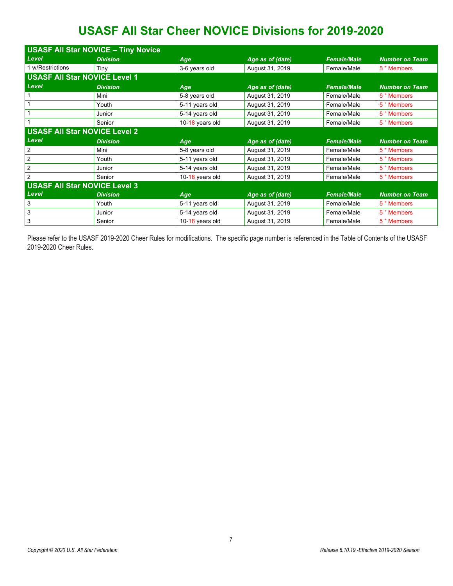# **USASF All Star Cheer NOVICE Divisions for 2019-2020**

| <b>USASF All Star NOVICE - Tiny Novice</b> |                 |                 |                  |                    |                        |  |  |  |
|--------------------------------------------|-----------------|-----------------|------------------|--------------------|------------------------|--|--|--|
| Level                                      | <b>Division</b> | Age             | Age as of (date) | <b>Female/Male</b> | <b>Number on Team</b>  |  |  |  |
| 1 w/Restrictions                           | Tiny            | 3-6 years old   | August 31, 2019  | Female/Male        | 5 <sup>+</sup> Members |  |  |  |
| <b>USASF All Star NOVICE Level 1</b>       |                 |                 |                  |                    |                        |  |  |  |
| Level                                      | <b>Division</b> | Age             | Age as of (date) | <b>Female/Male</b> | <b>Number on Team</b>  |  |  |  |
|                                            | Mini            | 5-8 years old   | August 31, 2019  | Female/Male        | 5 <sup>+</sup> Members |  |  |  |
|                                            | Youth           | 5-11 years old  | August 31, 2019  | Female/Male        | 5 <sup>+</sup> Members |  |  |  |
|                                            | Junior          | 5-14 years old  | August 31, 2019  | Female/Male        | 5 <sup>+</sup> Members |  |  |  |
|                                            | Senior          | 10-18 years old | August 31, 2019  | Female/Male        | 5 <sup>+</sup> Members |  |  |  |
| <b>USASF All Star NOVICE Level 2</b>       |                 |                 |                  |                    |                        |  |  |  |
|                                            |                 |                 |                  |                    |                        |  |  |  |
| Level                                      | <b>Division</b> | Age             | Age as of (date) | <b>Female/Male</b> | <b>Number on Team</b>  |  |  |  |
| 2                                          | Mini            | 5-8 years old   | August 31, 2019  | Female/Male        | 5 <sup>+</sup> Members |  |  |  |
| 2                                          | Youth           | 5-11 years old  | August 31, 2019  | Female/Male        | 5 <sup>+</sup> Members |  |  |  |
| 2                                          | Junior          | 5-14 years old  | August 31, 2019  | Female/Male        | 5 <sup>+</sup> Members |  |  |  |
| $\overline{2}$                             | Senior          | 10-18 years old | August 31, 2019  | Female/Male        | 5 <sup>+</sup> Members |  |  |  |
| <b>USASF All Star NOVICE Level 3</b>       |                 |                 |                  |                    |                        |  |  |  |
| Level                                      | <b>Division</b> | Age             | Age as of (date) | <b>Female/Male</b> | <b>Number on Team</b>  |  |  |  |
| 3                                          | Youth           | 5-11 years old  | August 31, 2019  | Female/Male        | 5 <sup>+</sup> Members |  |  |  |
| 3                                          | Junior          | 5-14 years old  | August 31, 2019  | Female/Male        | 5 <sup>+</sup> Members |  |  |  |

Please refer to the USASF 2019-2020 Cheer Rules for modifications. The specific page number is referenced in the Table of Contents of the USASF 2019-2020 Cheer Rules.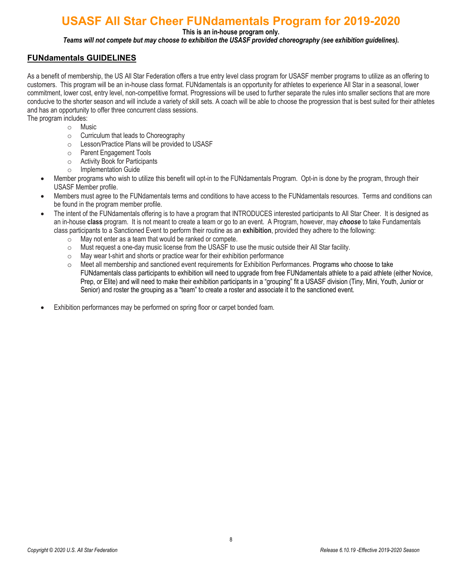## **USASF All Star Cheer FUNdamentals Program for 2019-2020**

**This is an in-house program only.** 

*Teams will not compete but may choose to exhibition the USASF provided choreography (see exhibition guidelines).*

### **FUNdamentals GUIDELINES**

As a benefit of membership, the US All Star Federation offers a true entry level class program for USASF member programs to utilize as an offering to customers. This program will be an in-house class format. FUNdamentals is an opportunity for athletes to experience All Star in a seasonal, lower commitment, lower cost, entry level, non-competitive format. Progressions will be used to further separate the rules into smaller sections that are more conducive to the shorter season and will include a variety of skill sets. A coach will be able to choose the progression that is best suited for their athletes and has an opportunity to offer three concurrent class sessions.

The program includes:

- o Music
- o Curriculum that leads to Choreography
- o Lesson/Practice Plans will be provided to USASF
- o Parent Engagement Tools
- o Activity Book for Participants
- o Implementation Guide
- Member programs who wish to utilize this benefit will opt-in to the FUNdamentals Program. Opt-in is done by the program, through their USASF Member profile.
- Members must agree to the FUNdamentals terms and conditions to have access to the FUNdamentals resources. Terms and conditions can be found in the program member profile.
- The intent of the FUNdamentals offering is to have a program that INTRODUCES interested participants to All Star Cheer. It is designed as an in-house **class** program. It is not meant to create a team or go to an event. A Program, however, may *choose* to take Fundamentals class participants to a Sanctioned Event to perform their routine as an **exhibition**, provided they adhere to the following:
	- o May not enter as a team that would be ranked or compete.
	- $\circ$  Must request a one-day music license from the USASF to use the music outside their All Star facility.
	- o May wear t-shirt and shorts or practice wear for their exhibition performance
	- o Meet all membership and sanctioned event requirements for Exhibition Performances. Programs who choose to take FUNdamentals class participants to exhibition will need to upgrade from free FUNdamentals athlete to a paid athlete (either Novice, Prep, or Elite) and will need to make their exhibition participants in a "grouping" fit a USASF division (Tiny, Mini, Youth, Junior or Senior) and roster the grouping as a "team" to create a roster and associate it to the sanctioned event.
- Exhibition performances may be performed on spring floor or carpet bonded foam.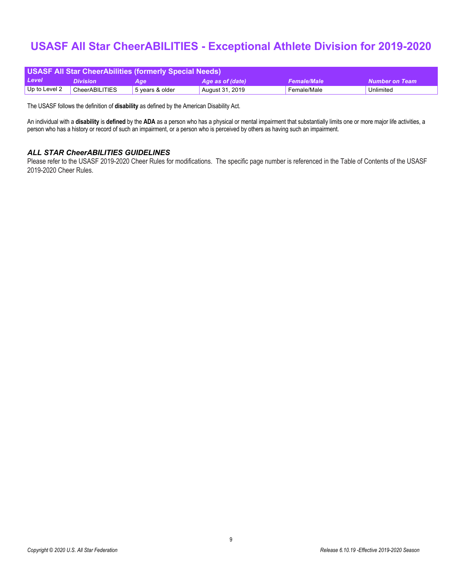## **USASF All Star CheerABILITIES - Exceptional Athlete Division for 2019-2020**

| <b>USASF All Star CheerAbilities (formerly Special Needs)</b>                               |                |                 |                 |             |           |  |  |
|---------------------------------------------------------------------------------------------|----------------|-----------------|-----------------|-------------|-----------|--|--|
| Level<br><b>Female/Male</b><br>Number on Team<br>Age as of (date)<br><b>Division</b><br>Age |                |                 |                 |             |           |  |  |
| Up to Level 2                                                                               | CheerABILITIES | 5 years & older | August 31, 2019 | Female/Male | Unlimited |  |  |

The USASF follows the definition of **disability** as defined by the American Disability Act.

An individual with a **disability** is **defined** by the **ADA** as a person who has a physical or mental impairment that substantially limits one or more major life activities, a person who has a history or record of such an impairment, or a person who is perceived by others as having such an impairment.

#### *ALL STAR CheerABILITIES GUIDELINES*

Please refer to the USASF 2019-2020 Cheer Rules for modifications. The specific page number is referenced in the Table of Contents of the USASF 2019-2020 Cheer Rules.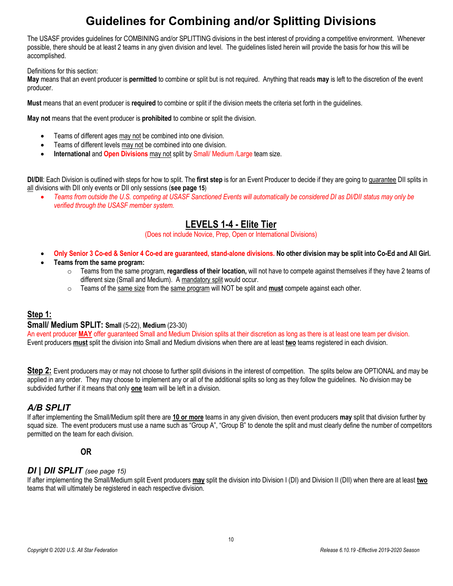# **Guidelines for Combining and/or Splitting Divisions**

The USASF provides guidelines for COMBINING and/or SPLITTING divisions in the best interest of providing a competitive environment. Whenever possible, there should be at least 2 teams in any given division and level. The guidelines listed herein will provide the basis for how this will be accomplished.

Definitions for this section:

**May** means that an event producer is **permitted** to combine or split but is not required. Anything that reads **may** is left to the discretion of the event producer.

**Must** means that an event producer is **required** to combine or split if the division meets the criteria set forth in the guidelines.

**May not** means that the event producer is **prohibited** to combine or split the division.

- Teams of different ages may not be combined into one division.
- Teams of different levels may not be combined into one division.
- **International and Open Divisions** may not split by Small/ Medium /Large team size.

**DI/DII**: Each Division is outlined with steps for how to split. The **first step** is for an Event Producer to decide if they are going to guarantee DII splits in all divisions with DII only events or DII only sessions (**see page 15**)

• *Teams from outside the U.S. competing at USASF Sanctioned Events will automatically be considered DI as DI/DII status may only be verified through the USASF member system.*

### **LEVELS 1-4 - Elite Tier**

(Does not include Novice, Prep, Open or International Divisions)

- **Only Senior 3 Co-ed & Senior 4 Co-ed are guaranteed, stand-alone divisions. No other division may be split into Co-Ed and All Girl.**
- **Teams from the same program:**
	- o Teams from the same program, **regardless of their location,** will not have to compete against themselves if they have 2 teams of different size (Small and Medium). A mandatory split would occur.
	- o Teams of the same size from the same program will NOT be split and **must** compete against each other*.*

### **Step 1:**

#### **Small/ Medium SPLIT: Small** (5-22), **Medium** (23-30)

An event producer **MAY** offer guaranteed Small and Medium Division splits at their discretion as long as there is at least one team per division. Event producers **must** split the division into Small and Medium divisions when there are at least **two** teams registered in each division.

**Step 2:** Event producers may or may not choose to further split divisions in the interest of competition. The splits below are OPTIONAL and may be applied in any order.They may choose to implement any or all of the additional splits so long as they follow the guidelines. No division may be subdivided further if it means that only **one** team will be left in a division.

### *A/B SPLIT*

If after implementing the Small/Medium split there are **10 or more** teams in any given division, then event producers **may** split that division further by squad size. The event producers must use a name such as "Group A", "Group B" to denote the split and must clearly define the number of competitors permitted on the team for each division.

# **OR**

### *DI | DII SPLIT (see page 15)*

If after implementing the Small/Medium split Event producers **may** split the division into Division I (DI) and Division II (DII) when there are at least **two** teams that will ultimately be registered in each respective division.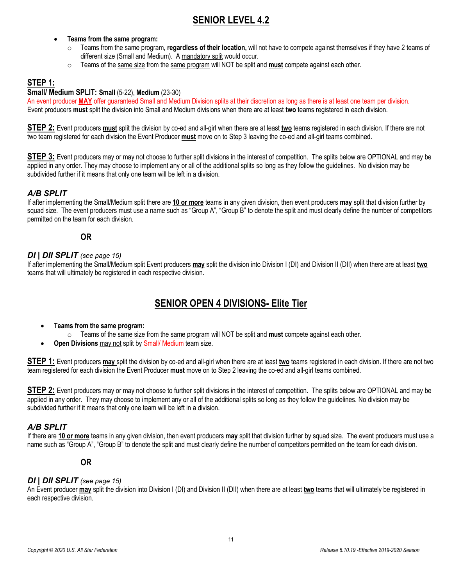### **SENIOR LEVEL 4.2**

### • **Teams from the same program:**

- o Teams from the same program, **regardless of their location,** will not have to compete against themselves if they have 2 teams of different size (Small and Medium). A mandatory split would occur.
- o Teams of the same size from the same program will NOT be split and **must** compete against each other*.*

### **STEP 1:**

#### **Small/ Medium SPLIT: Small** (5-22), **Medium** (23-30)

An event producer **MAY** offer guaranteed Small and Medium Division splits at their discretion as long as there is at least one team per division. Event producers **must** split the division into Small and Medium divisions when there are at least **two** teams registered in each division.

**STEP 2:** Event producers **must** split the division by co-ed and all-girl when there are at least **two** teams registered in each division. If there are not two team registered for each division the Event Producer **must** move on to Step 3 leaving the co-ed and all-girl teams combined.

**STEP 3:** Event producers may or may not choose to further split divisions in the interest of competition. The splits below are OPTIONAL and may be applied in any order. They may choose to implement any or all of the additional splits so long as they follow the guidelines. No division may be subdivided further if it means that only one team will be left in a division.

### *A/B SPLIT*

If after implementing the Small/Medium split there are **10 or more** teams in any given division, then event producers **may** split that division further by squad size. The event producers must use a name such as "Group A", "Group B" to denote the split and must clearly define the number of competitors permitted on the team for each division.

# **OR**

### *DI | DII SPLIT (see page 15)*

If after implementing the Small/Medium split Event producers **may** split the division into Division I (DI) and Division II (DII) when there are at least **two** teams that will ultimately be registered in each respective division.

### **SENIOR OPEN 4 DIVISIONS- Elite Tier**

- **Teams from the same program:**
	- o Teams of the same size from the same program will NOT be split and **must** compete against each other*.*
- **Open Divisions** may not split by Small/ Medium team size.

**STEP 1:** Event producers **may** split the division by co-ed and all-girl when there are at least **two** teams registered in each division. If there are not two team registered for each division the Event Producer **must** move on to Step 2 leaving the co-ed and all-girl teams combined.

**STEP 2:** Event producers may or may not choose to further split divisions in the interest of competition. The splits below are OPTIONAL and may be applied in any order. They may choose to implement any or all of the additional splits so long as they follow the guidelines. No division may be subdivided further if it means that only one team will be left in a division.

### *A/B SPLIT*

If there are **10 or more** teams in any given division, then event producers **may** split that division further by squad size. The event producers must use a name such as "Group A", "Group B" to denote the split and must clearly define the number of competitors permitted on the team for each division.

# **OR**

#### *DI | DII SPLIT (see page 15)*

An Event producer **may** split the division into Division I (DI) and Division II (DII) when there are at least **two** teams that will ultimately be registered in each respective division.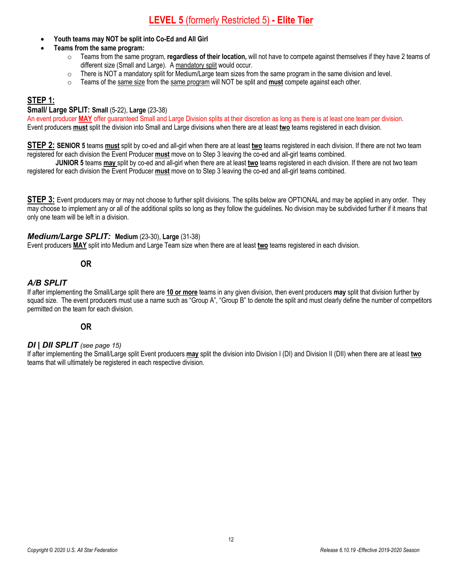### **LEVEL 5** (formerly Restricted 5) **- Elite Tier**

- **Youth teams may NOT be split into Co-Ed and All Girl**
- **Teams from the same program:**
	- o Teams from the same program, **regardless of their location,** will not have to compete against themselves if they have 2 teams of different size (Small and Large). A mandatory split would occur.
	- $\circ$  There is NOT a mandatory split for Medium/Large team sizes from the same program in the same division and level.
	- o Teams of the same size from the same program will NOT be split and **must** compete against each other*.*

### **STEP 1:**

#### **Small/ Large SPLIT: Small** (5-22), **Large** (23-38)

An event producer **MAY** offer guaranteed Small and Large Division splits at their discretion as long as there is at least one team per division. Event producers **must** split the division into Small and Large divisions when there are at least **two** teams registered in each division.

**STEP 2: SENIOR 5** teams **must** split by co-ed and all-girl when there are at least **two** teams registered in each division. If there are not two team registered for each division the Event Producer **must** move on to Step 3 leaving the co-ed and all-girl teams combined.

**JUNIOR 5** teams **may** split by co-ed and all-girl when there are at least **two** teams registered in each division. If there are not two team registered for each division the Event Producer **must** move on to Step 3 leaving the co-ed and all-girl teams combined.

**STEP 3:** Event producers may or may not choose to further split divisions. The splits below are OPTIONAL and may be applied in any order. They may choose to implement any or all of the additional splits so long as they follow the guidelines. No division may be subdivided further if it means that only one team will be left in a division.

### *Medium/Large SPLIT:* **Medium** (23-30), **Large** (31-38)

Event producers **MAY** split into Medium and Large Team size when there are at least **two** teams registered in each division.

### **OR**

### *A/B SPLIT*

If after implementing the Small/Large split there are **10 or more** teams in any given division, then event producers **may** split that division further by squad size. The event producers must use a name such as "Group A", "Group B" to denote the split and must clearly define the number of competitors permitted on the team for each division.

# **OR**

#### *DI | DII SPLIT (see page 15)*

If after implementing the Small/Large split Event producers **may** split the division into Division I (DI) and Division II (DII) when there are at least **two** teams that will ultimately be registered in each respective division.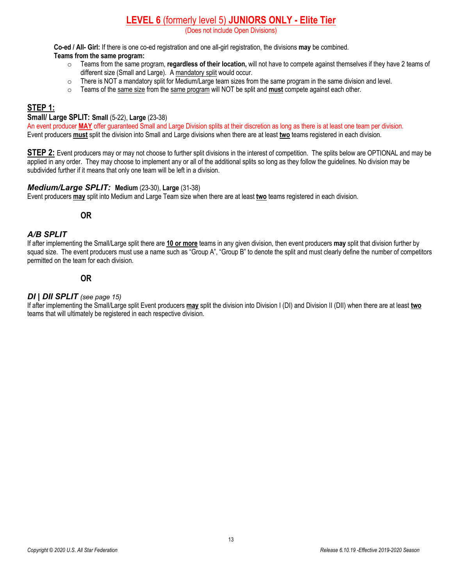### **LEVEL 6** (formerly level 5) **JUNIORS ONLY - Elite Tier**

(Does not include Open Divisions)

**Co-ed / All- Girl:** If there is one co-ed registration and one all-girl registration, the divisions **may** be combined.

### **Teams from the same program:**

- o Teams from the same program, **regardless of their location,** will not have to compete against themselves if they have 2 teams of different size (Small and Large). A mandatory split would occur.
- $\circ$  There is NOT a mandatory split for Medium/Large team sizes from the same program in the same division and level.
- o Teams of the same size from the same program will NOT be split and **must** compete against each other*.*

### **STEP 1:**

### **Small/ Large SPLIT: Small** (5-22), **Large** (23-38)

An event producer **MAY** offer guaranteed Small and Large Division splits at their discretion as long as there is at least one team per division. Event producers **must** split the division into Small and Large divisions when there are at least **two** teams registered in each division.

**STEP 2:** Event producers may or may not choose to further split divisions in the interest of competition. The splits below are OPTIONAL and may be applied in any order. They may choose to implement any or all of the additional splits so long as they follow the guidelines. No division may be subdivided further if it means that only one team will be left in a division.

### *Medium/Large SPLIT:* **Medium** (23-30), **Large** (31-38)

Event producers **may** split into Medium and Large Team size when there are at least **two** teams registered in each division.

### **OR**

### *A/B SPLIT*

If after implementing the Small/Large split there are **10 or more** teams in any given division, then event producers **may** split that division further by squad size. The event producers must use a name such as "Group A", "Group B" to denote the split and must clearly define the number of competitors permitted on the team for each division.

# **OR**

### *DI | DII SPLIT (see page 15)*

If after implementing the Small/Large split Event producers **may** split the division into Division I (DI) and Division II (DII) when there are at least **two** teams that will ultimately be registered in each respective division.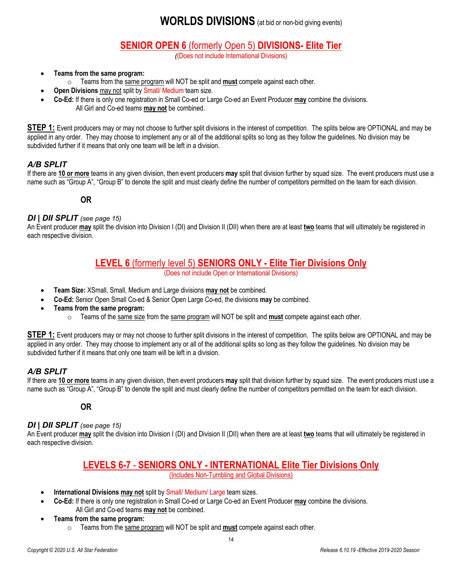### **WORLDS DIVISIONS** (at bid or non-bid giving events)

### **SENIOR OPEN 6** (formerly Open 5) **DIVISIONS- Elite Tier**

*(*(Does not include International Divisions)

- **Teams from the same program:**
	- o Teams from the same program will NOT be split and **must** compete against each other*.*
- **Open Divisions** may not split by Small/ Medium team size.
- **Co-Ed:** If there is only one registration in Small Co-ed or Large Co-ed an Event Producer **may** combine the divisions. All Girl and Co-ed teams **may not** be combined.

**STEP 1:** Event producers may or may not choose to further split divisions in the interest of competition. The splits below are OPTIONAL and may be applied in any order. They may choose to implement any or all of the additional splits so long as they follow the guidelines. No division may be subdivided further if it means that only one team will be left in a division.

### *A/B SPLIT*

If there are **10 or more** teams in any given division, then event producers **may** split that division further by squad size. The event producers must use a name such as "Group A", "Group B" to denote the split and must clearly define the number of competitors permitted on the team for each division.

**OR** 

### *DI | DII SPLIT (see page 15)*

An Event producer **may** split the division into Division I (DI) and Division II (DII) when there are at least **two** teams that will ultimately be registered in each respective division.

### **LEVEL 6** (formerly level 5) **SENIORS ONLY - Elite Tier Divisions Only**

(Does not include Open or International Divisions)

- **Team Size:** XSmall, Small, Medium and Large divisions **may not** be combined.
- **Co-Ed:** Senior Open Small Co-ed & Senior Open Large Co-ed, the divisions **may** be combined.
- **Teams from the same program:**
	- o Teams of the same size from the same program will NOT be split and **must** compete against each other*.*

**STEP 1:** Event producers may or may not choose to further split divisions in the interest of competition. The splits below are OPTIONAL and may be applied in any order. They may choose to implement any or all of the additional splits so long as they follow the guidelines. No division may be subdivided further if it means that only one team will be left in a division.

### *A/B SPLIT*

If there are **10 or more** teams in any given division, then event producers **may** split that division further by squad size. The event producers must use a name such as "Group A", "Group B" to denote the split and must clearly define the number of competitors permitted on the team for each division.

**OR** 

### *DI | DII SPLIT (see page 15)*

An Event producer **may** split the division into Division I (DI) and Division II (DII) when there are at least **two** teams that will ultimately be registered in each respective division.

### **LEVELS 6-7** - **SENIORS ONLY - INTERNATIONAL Elite Tier Divisions Only**

(Includes Non-Tumbling and Global Divisions)

- **International Divisions may not** split by Small/ Medium/ Large team sizes.
- **Co-Ed:** If there is only one registration in Small Co-ed or Large Co-ed an Event Producer **may** combine the divisions. All Girl and Co-ed teams **may not** be combined.
- **Teams from the same program:**
	- o Teams from the same program will NOT be split and **must** compete against each other*.*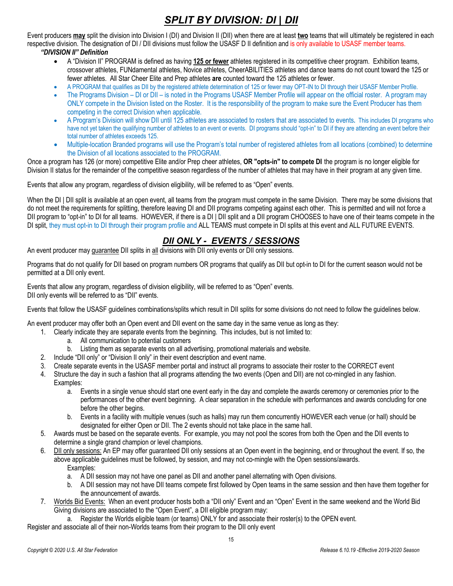### *SPLIT BY DIVISION: DI | DII*

Event producers **may** split the division into Division I (DI) and Division II (DII) when there are at least **two** teams that will ultimately be registered in each respective division. The designation of DI / DII divisions must follow the USASF D II definition and is only available to USASF member teams. *"DIVISION II" Definition* 

- A "Division II" PROGRAM is defined as having **125 or fewer** athletes registered in its competitive cheer program. Exhibition teams, crossover athletes, FUNdamental athletes, Novice athletes, CheerABILITIES athletes and dance teams do not count toward the 125 or fewer athletes. All Star Cheer Elite and Prep athletes **are** counted toward the 125 athletes or fewer.
- A PROGRAM that qualifies as DII by the registered athlete determination of 125 or fewer may OPT-IN to DI through their USASF Member Profile.
- The Programs Division DI or DII is noted in the Programs USASF Member Profile will appear on the official roster. A program may ONLY compete in the Division listed on the Roster. It is the responsibility of the program to make sure the Event Producer has them competing in the correct Division when applicable.
- A Program's Division will show DII until 125 athletes are associated to rosters that are associated to events**.** This includes DI programs who have not yet taken the qualifying number of athletes to an event or events. DI programs should "opt-in" to DI if they are attending an event before their total number of athletes exceeds 125.
- Multiple-location Branded programs will use the Program's total number of registered athletes from all locations (combined) to determine the Division of all locations associated to the PROGRAM.

Once a program has 126 (or more) competitive Elite and/or Prep cheer athletes, **OR "opts-in" to compete DI** the program is no longer eligible for Division II status for the remainder of the competitive season regardless of the number of athletes that may have in their program at any given time.

Events that allow any program, regardless of division eligibility, will be referred to as "Open" events.

When the DI | DII split is available at an open event, all teams from the program must compete in the same Division. There may be some divisions that do not meet the requirements for splitting, therefore leaving DI and DII programs competing against each other. This is permitted and will not force a DII program to "opt-in" to DI for all teams. HOWEVER, if there is a DI | DII split and a DII program CHOOSES to have one of their teams compete in the DI split, they must opt-in to DI through their program profile and ALL TEAMS must compete in DI splits at this event and ALL FUTURE EVENTS.

### *DII ONLY - EVENTS / SESSIONS*

An event producer may guarantee DII splits in all divisions with DII only events or DII only sessions.

Programs that do not qualify for DII based on program numbers OR programs that qualify as DII but opt-in to DI for the current season would not be permitted at a DII only event.

Events that allow any program, regardless of division eligibility, will be referred to as "Open" events. DII only events will be referred to as "DII" events.

Events that follow the USASF guidelines combinations/splits which result in DII splits for some divisions do not need to follow the guidelines below.

An event producer may offer both an Open event and DII event on the same day in the same venue as long as they:

- 1. Clearly indicate they are separate events from the beginning. This includes, but is not limited to:
	- a. All communication to potential customers
	- b. Listing them as separate events on all advertising, promotional materials and website.
- 2. Include "DII only" or "Division II only" in their event description and event name.
- 3. Create separate events in the USASF member portal and instruct all programs to associate their roster to the CORRECT event
- 4. Structure the day in such a fashion that all programs attending the two events (Open and DII) are not co-mingled in any fashion. Examples:
	- a. Events in a single venue should start one event early in the day and complete the awards ceremony or ceremonies prior to the performances of the other event beginning. A clear separation in the schedule with performances and awards concluding for one before the other begins.
	- b. Events in a facility with multiple venues (such as halls) may run them concurrently HOWEVER each venue (or hall) should be designated for either Open or DII. The 2 events should not take place in the same hall.
- 5. Awards must be based on the separate events. For example, you may not pool the scores from both the Open and the DII events to determine a single grand champion or level champions.
- 6. DII only sessions: An EP may offer guaranteed DII only sessions at an Open event in the beginning, end or throughout the event. If so, the above applicable guidelines must be followed, by session, and may not co-mingle with the Open sessions/awards. Examples:
	- a. A DII session may not have one panel as DII and another panel alternating with Open divisions.
	- b. A DII session may not have DII teams compete first followed by Open teams in the same session and then have them together for the announcement of awards.
- 7. Worlds Bid Events: When an event producer hosts both a "DII only" Event and an "Open" Event in the same weekend and the World Bid Giving divisions are associated to the "Open Event", a DII eligible program may:
	- a. Register the Worlds eligible team (or teams) ONLY for and associate their roster(s) to the OPEN event.

Register and associate all of their non-Worlds teams from their program to the DII only event